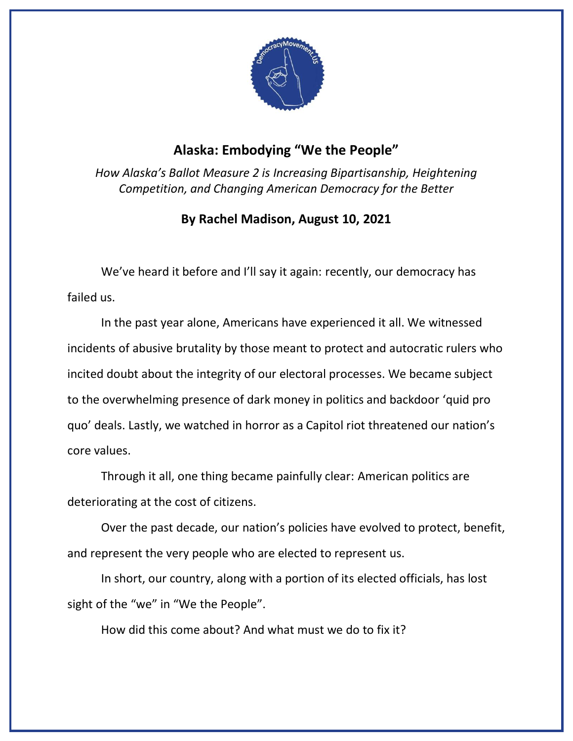

## **Alaska: Embodying "We the People"**

*How Alaska's Ballot Measure 2 is Increasing Bipartisanship, Heightening Competition, and Changing American Democracy for the Better*

## **By Rachel Madison, August 10, 2021**

We've heard it before and I'll say it again: recently, our democracy has failed us.

In the past year alone, Americans have experienced it all. We witnessed incidents of abusive brutality by those meant to protect and autocratic rulers who incited doubt about the integrity of our electoral processes. We became subject to the overwhelming presence of dark money in politics and backdoor 'quid pro quo' deals. Lastly, we watched in horror as a Capitol riot threatened our nation's core values.

Through it all, one thing became painfully clear: American politics are deteriorating at the cost of citizens.

Over the past decade, our nation's policies have evolved to protect, benefit, and represent the very people who are elected to represent us.

In short, our country, along with a portion of its elected officials, has lost sight of the "we" in "We the People".

How did this come about? And what must we do to fix it?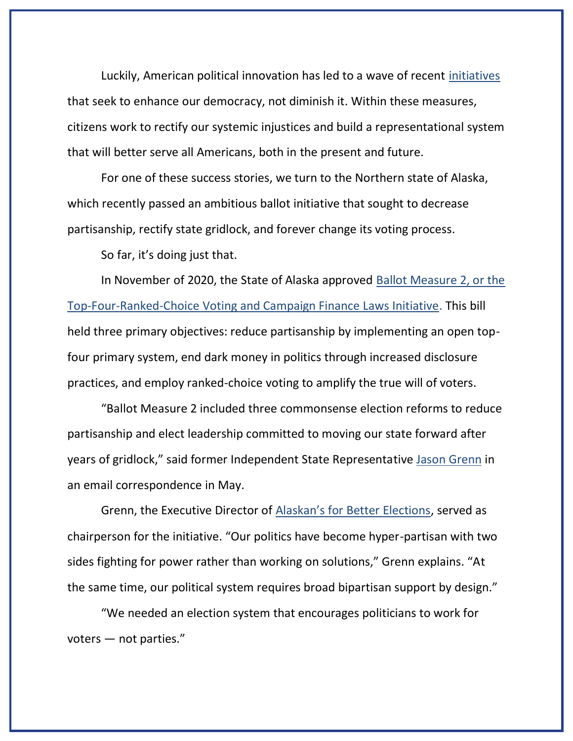Luckily, American political innovation has led to a wave of recent [initiatives](https://www.brennancenter.org/issues/ensure-every-american-can-vote/voting-reform) that seek to enhance our democracy, not diminish it. Within these measures, citizens work to rectify our systemic injustices and build a representational system that will better serve all Americans, both in the present and future.

For one of these success stories, we turn to the Northern state of Alaska, which recently passed an ambitious ballot initiative that sought to decrease partisanship, rectify state gridlock, and forever change its voting process.

So far, it's doing just that.

In November of 2020, the State of Alaska approved [Ballot Measure 2, or the](https://ballotpedia.org/Alaska_Ballot_Measure_2,_Top-Four_Ranked-Choice_Voting_and_Campaign_Finance_Laws_Initiative_(2020))  [Top-Four-Ranked-Choice Voting and Campaign Finance Laws Initiative.](https://ballotpedia.org/Alaska_Ballot_Measure_2,_Top-Four_Ranked-Choice_Voting_and_Campaign_Finance_Laws_Initiative_(2020)) This bill held three primary objectives: reduce partisanship by implementing an open topfour primary system, end dark money in politics through increased disclosure practices, and employ ranked-choice voting to amplify the true will of voters.

"Ballot Measure 2 included three commonsense election reforms to reduce partisanship and elect leadership committed to moving our state forward after years of gridlock," said former Independent State Representative [Jason Grenn](http://www.akleg.gov/basis/Member/Detail/30?code=grn) in an email correspondence in May.

Grenn, the Executive Director of [Alaskan's for Better Elections](https://alaskansforbetterelections.com/), served as chairperson for the initiative. "Our politics have become hyper-partisan with two sides fighting for power rather than working on solutions," Grenn explains. "At the same time, our political system requires broad bipartisan support by design."

"We needed an election system that encourages politicians to work for voters — not parties."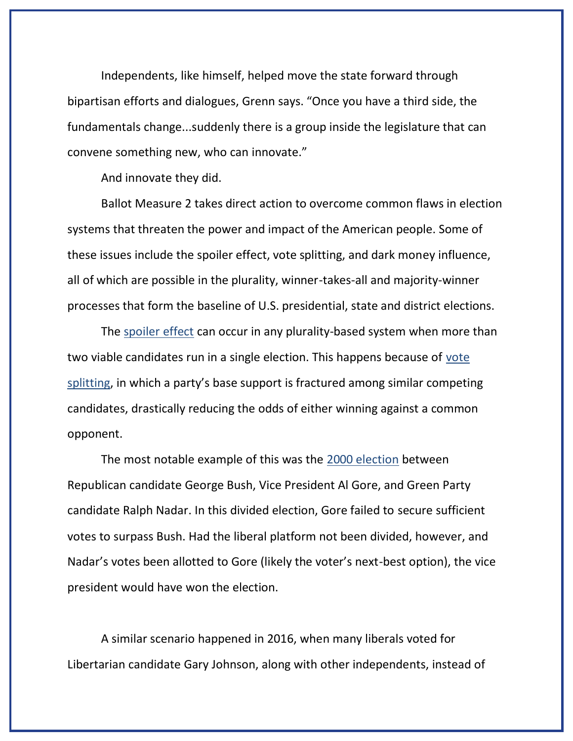Independents, like himself, helped move the state forward through bipartisan efforts and dialogues, Grenn says. "Once you have a third side, the fundamentals change...suddenly there is a group inside the legislature that can convene something new, who can innovate."

And innovate they did.

Ballot Measure 2 takes direct action to overcome common flaws in election systems that threaten the power and impact of the American people. Some of these issues include the spoiler effect, vote splitting, and dark money influence, all of which are possible in the plurality, winner-takes-all and majority-winner processes that form the baseline of U.S. presidential, state and district elections.

The [spoiler effect](https://www.fairvote.org/research_electoralsystemsus) can occur in any plurality-based system when more than two viable candidates run in a single election. This happens because of [vote](https://archive3.fairvote.org/reforms/instant-runoff-voting/irv-and-the-status-quo/spoiler-effect/)  [splitting](https://archive3.fairvote.org/reforms/instant-runoff-voting/irv-and-the-status-quo/spoiler-effect/), in which a party's base support is fractured among similar competing candidates, drastically reducing the odds of either winning against a common opponent.

The most notable example of this was the [2000 election](https://www.fec.gov/introduction-campaign-finance/election-and-voting-information/federal-elections-2000/president2000/) between Republican candidate George Bush, Vice President Al Gore, and Green Party candidate Ralph Nadar. In this divided election, Gore failed to secure sufficient votes to surpass Bush. Had the liberal platform not been divided, however, and Nadar's votes been allotted to Gore (likely the voter's next-best option), the vice president would have won the election.

A similar scenario happened in 2016, when many liberals voted for Libertarian candidate Gary Johnson, along with other independents, instead of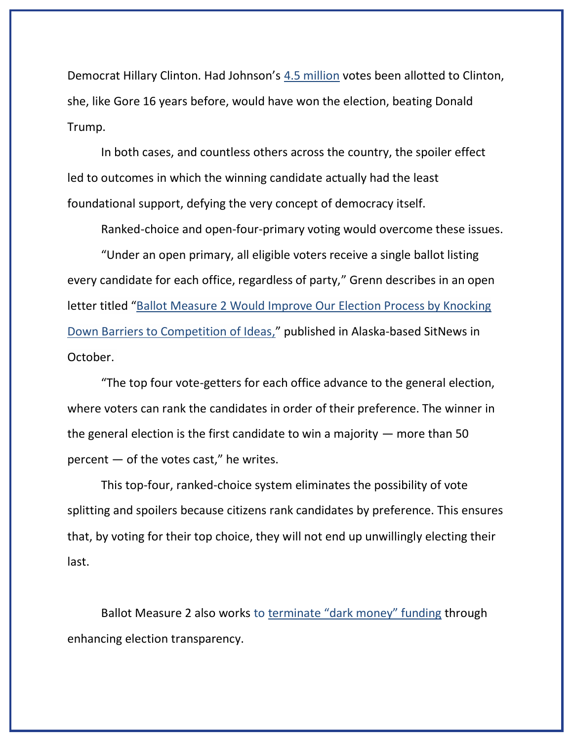Democrat Hillary Clinton. Had Johnson's [4.5 million](https://ballotpedia.org/Gary_Johnson_(New_Mexico)) votes been allotted to Clinton, she, like Gore 16 years before, would have won the election, beating Donald Trump.

In both cases, and countless others across the country, the spoiler effect led to outcomes in which the winning candidate actually had the least foundational support, defying the very concept of democracy itself.

Ranked-choice and open-four-primary voting would overcome these issues.

"Under an open primary, all eligible voters receive a single ballot listing every candidate for each office, regardless of party," Grenn describes in an open letter titled "[Ballot Measure 2 Would Improve Our Election Process by Knocking](http://www.sitnews.us/1020Viewpoints/102620_jason_grenn.html)  [Down Barriers to Competition of Ideas,](http://www.sitnews.us/1020Viewpoints/102620_jason_grenn.html)" published in Alaska-based SitNews in October.

"The top four vote-getters for each office advance to the general election, where voters can rank the candidates in order of their preference. The winner in the general election is the first candidate to win a majority  $-$  more than 50  $percent - of the votes cast," he writes.$ 

This top-four, ranked-choice system eliminates the possibility of vote splitting and spoilers because citizens rank candidates by preference. This ensures that, by voting for their top choice, they will not end up unwillingly electing their last.

Ballot Measure 2 also works to [terminate "dark money" funding](https://alaskansforbetterelections.com/about/dark-money/) through enhancing election transparency.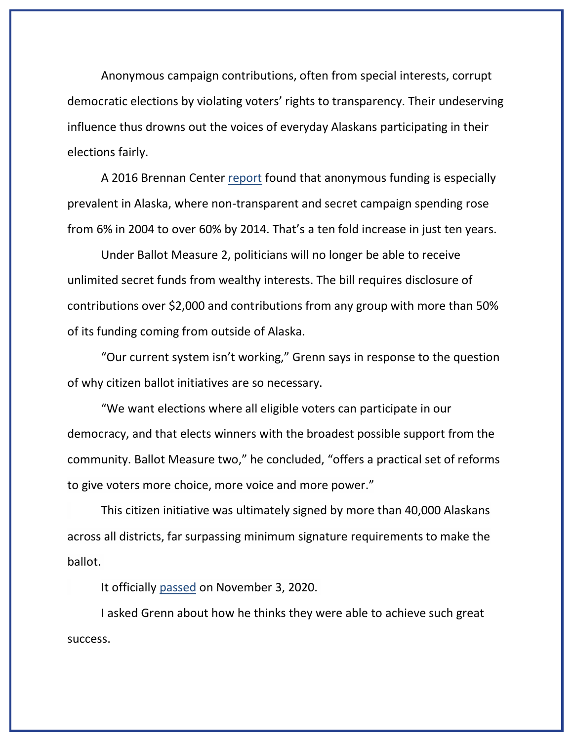Anonymous campaign contributions, often from special interests, corrupt democratic elections by violating voters' rights to transparency. Their undeserving influence thus drowns out the voices of everyday Alaskans participating in their elections fairly.

A 2016 Brennan Center [report](https://www.brennancenter.org/our-work/research-reports/secret-spending-states) found that anonymous funding is especially prevalent in Alaska, where non-transparent and secret campaign spending rose from 6% in 2004 to over 60% by 2014. That's a ten fold increase in just ten years.

Under Ballot Measure 2, politicians will no longer be able to receive unlimited secret funds from wealthy interests. The bill requires disclosure of contributions over \$2,000 and contributions from any group with more than 50% of its funding coming from outside of Alaska.

"Our current system isn't working," Grenn says in response to the question of why citizen ballot initiatives are so necessary.

"We want elections where all eligible voters can participate in our democracy, and that elects winners with the broadest possible support from the community. Ballot Measure two," he concluded, "offers a practical set of reforms to give voters more choice, more voice and more power."

This citizen initiative was ultimately signed by more than 40,000 Alaskans across all districts, far surpassing minimum signature requirements to make the ballot.

It officially [passed](https://ballotpedia.org/Alaska_Ballot_Measure_2,_Top-Four_Ranked-Choice_Voting_and_Campaign_Finance_Laws_Initiative_(2020)) on November 3, 2020.

I asked Grenn about how he thinks they were able to achieve such great success.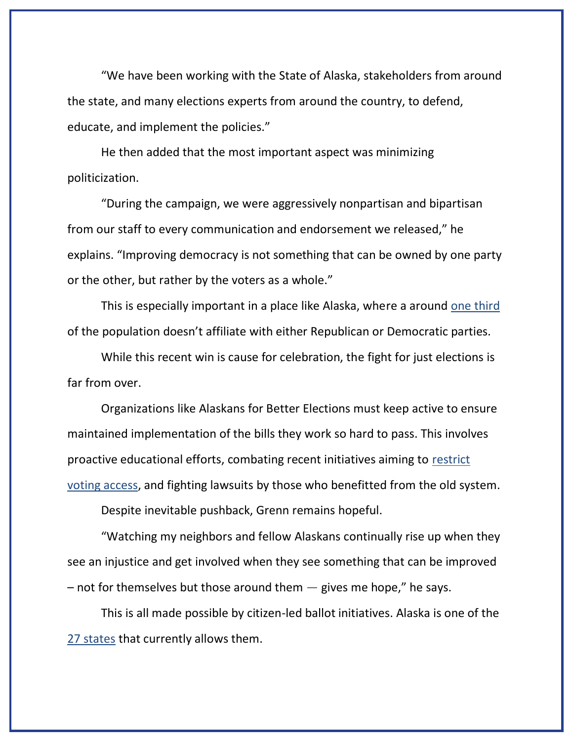"We have been working with the State of Alaska, stakeholders from around the state, and many elections experts from around the country, to defend, educate, and implement the policies."

He then added that the most important aspect was minimizing politicization.

"During the campaign, we were aggressively nonpartisan and bipartisan from our staff to every communication and endorsement we released," he explains. "Improving democracy is not something that can be owned by one party or the other, but rather by the voters as a whole."

This is especially important in a place like Alaska, where a around [one third](https://www.pewforum.org/religious-landscape-study/state/alaska/party-affiliation/) of the population doesn't affiliate with either Republican or Democratic parties.

While this recent win is cause for celebration, the fight for just elections is far from over.

Organizations like Alaskans for Better Elections must keep active to ensure maintained implementation of the bills they work so hard to pass. This involves proactive educational efforts, combating recent initiatives aiming to [restrict](https://www.brennancenter.org/our-work/research-reports/state-voting-bills-tracker-2021)  [voting access,](https://www.brennancenter.org/our-work/research-reports/state-voting-bills-tracker-2021) and fighting lawsuits by those who benefitted from the old system.

Despite inevitable pushback, Grenn remains hopeful.

"Watching my neighbors and fellow Alaskans continually rise up when they see an injustice and get involved when they see something that can be improved  $-$  not for themselves but those around them  $-$  gives me hope," he says.

This is all made possible by citizen-led ballot initiatives. Alaska is one of the [27 states](https://www.ncsl.org/research/elections-and-campaigns/chart-of-the-initiative-states.aspx) that currently allows them.